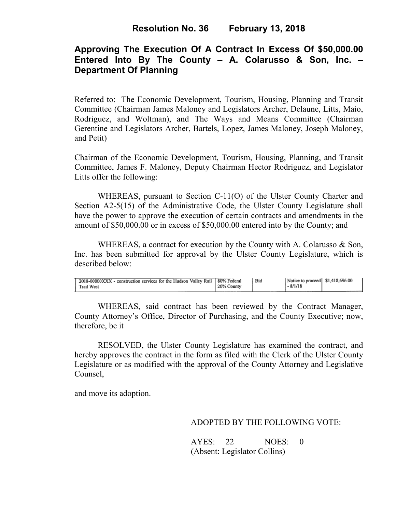# **Approving The Execution Of A Contract In Excess Of \$50,000.00 Entered Into By The County – A. Colarusso & Son, Inc. – Department Of Planning**

Referred to: The Economic Development, Tourism, Housing, Planning and Transit Committee (Chairman James Maloney and Legislators Archer, Delaune, Litts, Maio, Rodriguez, and Woltman), and The Ways and Means Committee (Chairman Gerentine and Legislators Archer, Bartels, Lopez, James Maloney, Joseph Maloney, and Petit)

Chairman of the Economic Development, Tourism, Housing, Planning, and Transit Committee, James F. Maloney, Deputy Chairman Hector Rodriguez, and Legislator Litts offer the following:

WHEREAS, pursuant to Section C-11(O) of the Ulster County Charter and Section A2-5(15) of the Administrative Code, the Ulster County Legislature shall have the power to approve the execution of certain contracts and amendments in the amount of \$50,000.00 or in excess of \$50,000.00 entered into by the County; and

WHEREAS, a contract for execution by the County with A. Colarusso & Son, Inc. has been submitted for approval by the Ulster County Legislature, which is described below:

WHEREAS, said contract has been reviewed by the Contract Manager, County Attorney's Office, Director of Purchasing, and the County Executive; now, therefore, be it

RESOLVED, the Ulster County Legislature has examined the contract, and hereby approves the contract in the form as filed with the Clerk of the Ulster County Legislature or as modified with the approval of the County Attorney and Legislative Counsel,

and move its adoption.

ADOPTED BY THE FOLLOWING VOTE:

AYES: 22 NOES: 0 (Absent: Legislator Collins)